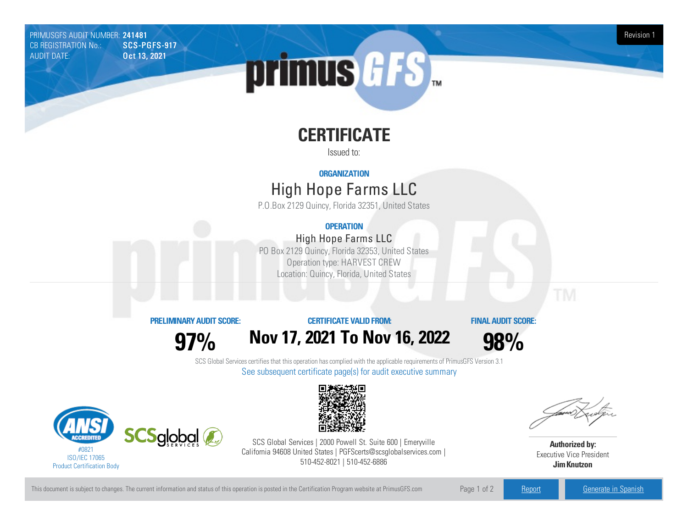PRIMUSGFS AUDIT NUMBER: 241481 Revision 1 Revision 1 Revision 1 Revision 1 Revision 1 Revision 1 Revision 1 Revision 1 CB REGISTRATION No.: AUDIT DATE: **Oct 13, 2021** 

# primus GFS

# **CERTIFICATE**

Issued to:

### **ORGANIZATION**

# High Hope FarmsLLC

P.O.Box 2129 Quincy, Florida 32351, United States

## **OPERATION**

## High Hope Farms LLC

PO Box 2129 Quincy, Florida 32353, United States Operation type: HARVEST CREW Location: Quincy, Florida, United States

#### **PRELIMINARYAUDIT SCORE:**

**97%**

**CERTIFICATE VALIDFROM:**

**Nov17, 2021 To Nov16, 2022**

**FINAL AUDIT SCORE:**

**98%**

SCS Global Services certifies that this operation has complied with the applicable requirements of PrimusGFS Version 3.1 See subsequent certificate page(s) for audit executive summary





SCS Global Services | 2000 Powell St. Suite 600 | Emeryville California 94608 United States | PGFScerts@scsglobalservices.com | 510-452-8021 | 510-452-6886

**Authorized by:** Executive Vice President **JimKnutzon**

This document is subject to changes. The current information and status of this operation is posted in the Certification Program website at PrimusGFS.com Page 1 of 2 [Report](https://secure.azzule.com/PGFSDocuments/PGFS_AuditReport241481_7119_1_EN.pdf) Report [Generate](https://secure.azzule.com/PrimusGFSAudits/pdfGenerator.aspx?AuditHeaderID=93212269273607865920241240333804664418557&AppId=92183011575&LanguageID=1&UserId=1) in Spanish